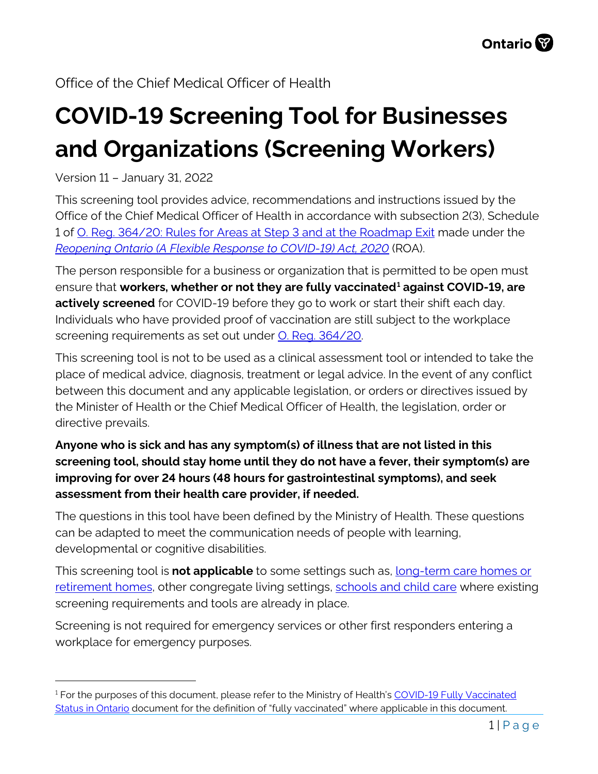# **COVID-19 Screening Tool for Businesses and Organizations (Screening Workers)**

Version 11 – January 31, 2022

This screening tool provides advice, recommendations and instructions issued by the Office of the Chief Medical Officer of Health in accordance with subsection 2(3), Schedule 1 of [O. Reg. 364/20: Rules for Areas at](https://www.ontario.ca/laws/regulation/200364) Step 3 and at the Roadmap Exit made under the *[Reopening Ontario \(A Flexible Response to COVID-19\) Act, 2020](https://www.ontario.ca/laws/statute/20r17)* (ROA).

The person responsible for a business or organization that is permitted to be open must ensure that **workers, whether or not they are fully vaccinated[1](#page-0-0) against COVID-19, are actively screened** for COVID-19 before they go to work or start their shift each day. Individuals who have provided proof of vaccination are still subject to the workplace screening requirements as set out under **O. Reg. 364/20.** 

This screening tool is not to be used as a clinical assessment tool or intended to take the place of medical advice, diagnosis, treatment or legal advice. In the event of any conflict between this document and any applicable legislation, or orders or directives issued by the Minister of Health or the Chief Medical Officer of Health, the legislation, order or directive prevails.

#### **Anyone who is sick and has any symptom(s) of illness that are not listed in this screening tool, should stay home until they do not have a fever, their symptom(s) are improving for over 24 hours (48 hours for gastrointestinal symptoms), and seek assessment from their health care provider, if needed.**

The questions in this tool have been defined by the Ministry of Health. These questions can be adapted to meet the communication needs of people with learning, developmental or cognitive disabilities.

This screening tool is **not applicable** to some settings such as, [long-term care homes or](http://www.health.gov.on.ca/en/pro/programs/publichealth/coronavirus/docs/2019_screening_guidance.pdf)  [retirement homes,](http://www.health.gov.on.ca/en/pro/programs/publichealth/coronavirus/docs/2019_screening_guidance.pdf) other congregate living settings, [schools and child care](https://covid-19.ontario.ca/school-screening/) where existing screening requirements and tools are already in place.

Screening is not required for emergency services or other first responders entering a workplace for emergency purposes.

<span id="page-0-0"></span><sup>&</sup>lt;sup>1</sup> For the purposes of this document, please refer to the Ministry of Health's COVID-19 Fully Vaccinated [Status in Ontario](https://www.health.gov.on.ca/en/pro/programs/publichealth/coronavirus/docs/vaccine/COVID-19_fully_vaccinated_status_ontario.pdf) document for the definition of "fully vaccinated" where applicable in this document.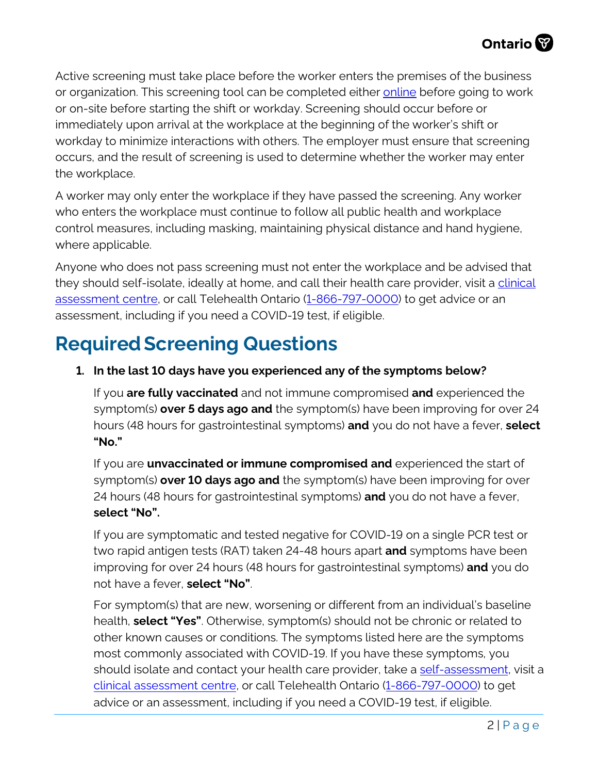Active screening must take place before the worker enters the premises of the business or organization. This screening tool can be completed either [online](https://covid-19.ontario.ca/screening/worker/) before going to work or on-site before starting the shift or workday. Screening should occur before or immediately upon arrival at the workplace at the beginning of the worker's shift or workday to minimize interactions with others. The employer must ensure that screening occurs, and the result of screening is used to determine whether the worker may enter the workplace.

A worker may only enter the workplace if they have passed the screening. Any worker who enters the workplace must continue to follow all public health and workplace control measures, including masking, maintaining physical distance and hand hygiene, where applicable.

Anyone who does not pass screening must not enter the workplace and be advised that they should self-isolate, ideally at home, and call their health care provider, visit a clinical [assessment centre,](https://covid-19.ontario.ca/assessment-centre-locations) or call Telehealth Ontario [\(1-866-797-0000\)](tel:+18667970000) to get advice or an assessment, including if you need a COVID-19 test, if eligible.

# **Required Screening Questions**

#### **1. In the last 10 days have you experienced any of the symptoms below?**

If you **are fully vaccinated** and not immune compromised **and** experienced the symptom(s) **over 5 days ago and** the symptom(s) have been improving for over 24 hours (48 hours for gastrointestinal symptoms) **and** you do not have a fever, **select "No."**

If you are **unvaccinated or immune compromised and** experienced the start of symptom(s) **over 10 days ago and** the symptom(s) have been improving for over 24 hours (48 hours for gastrointestinal symptoms) **and** you do not have a fever, **select "No".**

If you are symptomatic and tested negative for COVID-19 on a single PCR test or two rapid antigen tests (RAT) taken 24-48 hours apart **and** symptoms have been improving for over 24 hours (48 hours for gastrointestinal symptoms) **and** you do not have a fever, **select "No"**.

For symptom(s) that are new, worsening or different from an individual's baseline health, **select "Yes"**. Otherwise, symptom(s) should not be chronic or related to other known causes or conditions. The symptoms listed here are the symptoms most commonly associated with COVID-19. If you have these symptoms, you should isolate and contact your health care provider, take a [self-assessment,](https://covid-19.ontario.ca/self-assessment/) visit a [clinical assessment](https://covid-19.ontario.ca/assessment-centre-locations) centre, or call Telehealth Ontario [\(1-866-797-0000\)](tel:+18667970000) to get advice or an assessment, including if you need a COVID-19 test, if eligible.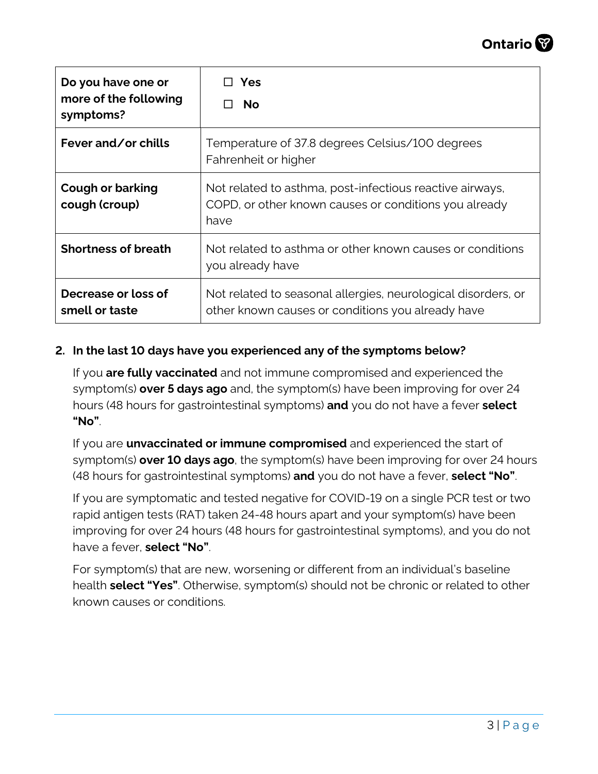

| Do you have one or<br>more of the following<br>symptoms? | <b>Yes</b><br><b>No</b>                                                                                                   |
|----------------------------------------------------------|---------------------------------------------------------------------------------------------------------------------------|
| Fever and/or chills                                      | Temperature of 37.8 degrees Celsius/100 degrees<br>Fahrenheit or higher                                                   |
| <b>Cough or barking</b><br>cough (croup)                 | Not related to asthma, post-infectious reactive airways,<br>COPD, or other known causes or conditions you already<br>have |
| <b>Shortness of breath</b>                               | Not related to asthma or other known causes or conditions<br>you already have                                             |
| Decrease or loss of<br>smell or taste                    | Not related to seasonal allergies, neurological disorders, or<br>other known causes or conditions you already have        |

#### **2. In the last 10 days have you experienced any of the symptoms below?**

If you **are fully vaccinated** and not immune compromised and experienced the symptom(s) **over 5 days ago** and, the symptom(s) have been improving for over 24 hours (48 hours for gastrointestinal symptoms) **and** you do not have a fever **select "No"**.

If you are **unvaccinated or immune compromised** and experienced the start of symptom(s) **over 10 days ago**, the symptom(s) have been improving for over 24 hours (48 hours for gastrointestinal symptoms) **and** you do not have a fever, **select "No"**.

If you are symptomatic and tested negative for COVID-19 on a single PCR test or two rapid antigen tests (RAT) taken 24-48 hours apart and your symptom(s) have been improving for over 24 hours (48 hours for gastrointestinal symptoms), and you do not have a fever, **select "No"**.

For symptom(s) that are new, worsening or different from an individual's baseline health **select "Yes"**. Otherwise, symptom(s) should not be chronic or related to other known causes or conditions.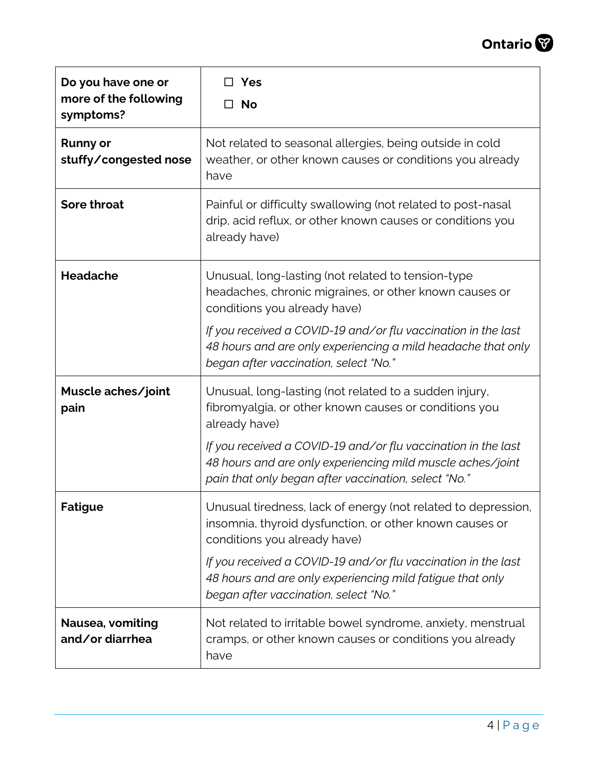

| Do you have one or<br>more of the following<br>symptoms? | Yes<br><b>No</b><br>$\mathsf{L}$                                                                                                                                                    |
|----------------------------------------------------------|-------------------------------------------------------------------------------------------------------------------------------------------------------------------------------------|
| <b>Runny or</b><br>stuffy/congested nose                 | Not related to seasonal allergies, being outside in cold<br>weather, or other known causes or conditions you already<br>have                                                        |
| <b>Sore throat</b>                                       | Painful or difficulty swallowing (not related to post-nasal<br>drip, acid reflux, or other known causes or conditions you<br>already have)                                          |
| <b>Headache</b>                                          | Unusual, long-lasting (not related to tension-type<br>headaches, chronic migraines, or other known causes or<br>conditions you already have)                                        |
|                                                          | If you received a COVID-19 and/or flu vaccination in the last<br>48 hours and are only experiencing a mild headache that only<br>began after vaccination, select "No."              |
| Muscle aches/joint<br>pain                               | Unusual, long-lasting (not related to a sudden injury,<br>fibromyalgia, or other known causes or conditions you<br>already have)                                                    |
|                                                          | If you received a COVID-19 and/or flu vaccination in the last<br>48 hours and are only experiencing mild muscle aches/joint<br>pain that only began after vaccination, select "No." |
| <b>Fatigue</b>                                           | Unusual tiredness, lack of energy (not related to depression,<br>insomnia, thyroid dysfunction, or other known causes or<br>conditions you already have)                            |
|                                                          | If you received a COVID-19 and/or flu vaccination in the last<br>48 hours and are only experiencing mild fatigue that only<br>began after vaccination, select "No."                 |
| Nausea, vomiting<br>and/or diarrhea                      | Not related to irritable bowel syndrome, anxiety, menstrual<br>cramps, or other known causes or conditions you already<br>have                                                      |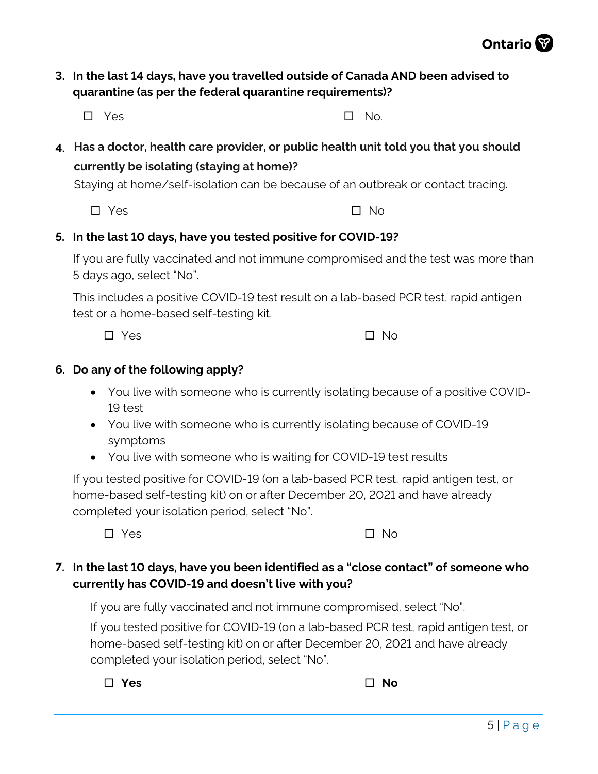#### **3. In the last 14 days, have you travelled outside of Canada AND been advised to quarantine (as per the federal quarantine requirements)?**

 $\Box$  Yes  $\Box$  No.

**4. Has a doctor, health care provider, or public health unit told you that you should currently be isolating (staying at home)?**

Staying at home/self-isolation can be because of an outbreak or contact tracing.

Yes No

#### **5. In the last 10 days, have you tested positive for COVID-19?**

If you are fully vaccinated and not immune compromised and the test was more than 5 days ago, select "No".

This includes a positive COVID-19 test result on a lab-based PCR test, rapid antigen test or a home-based self-testing kit.

 $\square$  Yes  $\square$  No

#### **6. Do any of the following apply?**

- You live with someone who is currently isolating because of a positive COVID-19 test
- You live with someone who is currently isolating because of COVID-19 symptoms
- You live with someone who is waiting for COVID-19 test results

If you tested positive for COVID-19 (on a lab-based PCR test, rapid antigen test, or home-based self-testing kit) on or after December 20, 2021 and have already completed your isolation period, select "No".

 $\Box$  Yes  $\Box$  No.

**7. In the last 10 days, have you been identified as a "close contact" of someone who currently has COVID-19 and doesn't live with you?**

If you are fully vaccinated and not immune compromised, select "No".

If you tested positive for COVID-19 (on a lab-based PCR test, rapid antigen test, or home-based self-testing kit) on or after December 20, 2021 and have already completed your isolation period, select "No".

 $\Box$  Yes  $\Box$  No

Ontario<sup>8</sup>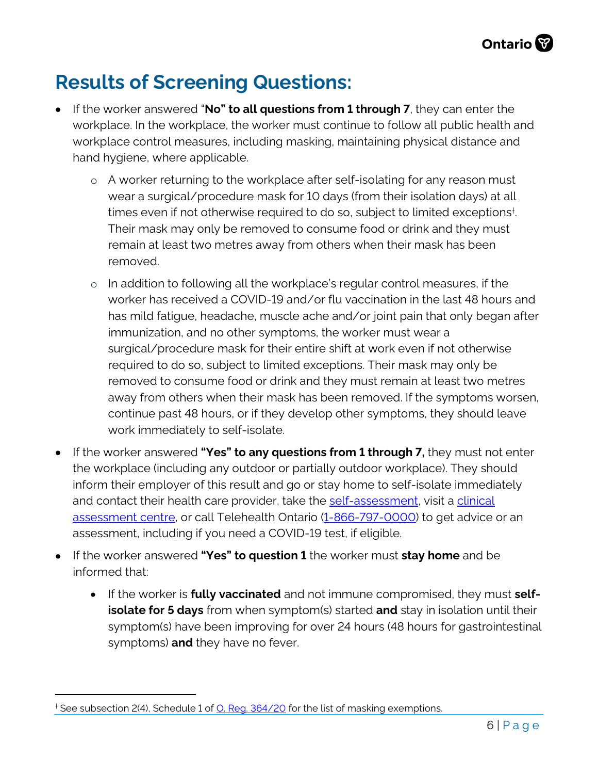## **Results of Screening Questions:**

- If the worker answered "**No" to all questions from 1 through 7**, they can enter the workplace. In the workplace, the worker must continue to follow all public health and workplace control measures, including masking, maintaining physical distance and hand hygiene, where applicable.
	- o A worker returning to the workplace after self-isolating for any reason must wear a surgical/procedure mask for 10 days (from their isolation days) at all times even if not otherwise required to do so, subject to limited exceptions[†](#page-5-0) . Their mask may only be removed to consume food or drink and they must remain at least two metres away from others when their mask has been removed.
	- o In addition to following all the workplace's regular control measures, if the worker has received a COVID-19 and/or flu vaccination in the last 48 hours and has mild fatigue, headache, muscle ache and/or joint pain that only began after immunization, and no other symptoms, the worker must wear a surgical/procedure mask for their entire shift at work even if not otherwise required to do so, subject to limited exceptions. Their mask may only be removed to consume food or drink and they must remain at least two metres away from others when their mask has been removed. If the symptoms worsen, continue past 48 hours, or if they develop other symptoms, they should leave work immediately to self-isolate.
- If the worker answered **"Yes" to any questions from 1 through 7,** they must not enter the workplace (including any outdoor or partially outdoor workplace). They should inform their employer of this result and go or stay home to self-isolate immediately and contact their health care provider, take the [self-assessment,](https://covid-19.ontario.ca/self-assessment/) visit a [clinical](https://covid-19.ontario.ca/assessment-centre-locations) [assessment centre,](https://covid-19.ontario.ca/assessment-centre-locations) or call Telehealth Ontario [\(1-866-797-0000\)](tel:+18667970000) to get advice or an assessment, including if you need a COVID-19 test, if eligible.
- If the worker answered **"Yes" to question 1** the worker must **stay home** and be informed that:
	- If the worker is **fully vaccinated** and not immune compromised, they must **selfisolate for 5 days** from when symptom(s) started **and** stay in isolation until their symptom(s) have been improving for over 24 hours (48 hours for gastrointestinal symptoms) **and** they have no fever.

<span id="page-5-0"></span><sup>&</sup>lt;sup>+</sup> See subsection 2(4), Schedule 1 of <u>O. Reg. 364/20</u> for the list of masking exemptions.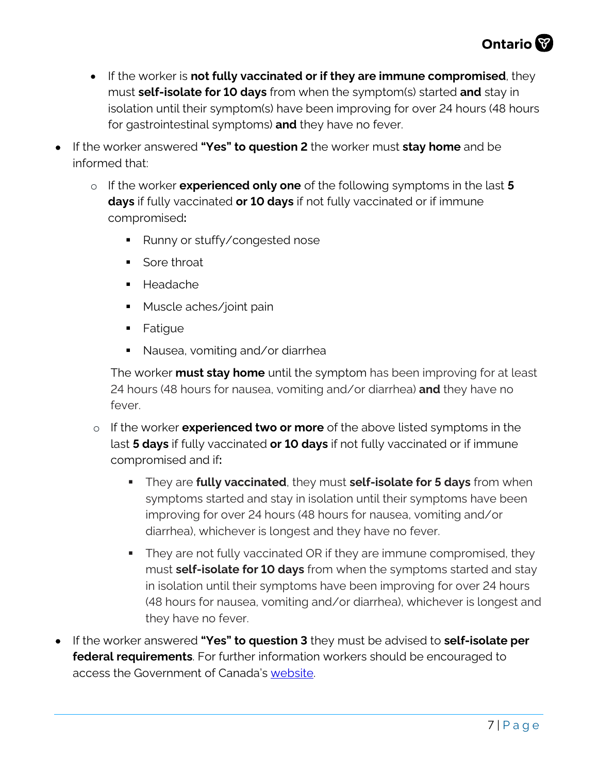

- If the worker is **not fully vaccinated or if they are immune compromised**, they must **self-isolate for 10 days** from when the symptom(s) started **and** stay in isolation until their symptom(s) have been improving for over 24 hours (48 hours for gastrointestinal symptoms) **and** they have no fever.
- If the worker answered **"Yes" to question 2** the worker must **stay home** and be informed that:
	- o If the worker **experienced only one** of the following symptoms in the last **5 days** if fully vaccinated **or 10 days** if not fully vaccinated or if immune compromised**:**
		- Runny or stuffy/congested nose
		- Sore throat
		- Headache
		- **Muscle aches/joint pain**
		- **Fatique**
		- Nausea, vomiting and/or diarrhea

The worker **must stay home** until the symptom has been improving for at least 24 hours (48 hours for nausea, vomiting and/or diarrhea) **and** they have no fever.

- o If the worker **experienced two or more** of the above listed symptoms in the last **5 days** if fully vaccinated **or 10 days** if not fully vaccinated or if immune compromised and if**:**
	- They are **fully vaccinated**, they must **self-isolate for 5 days** from when symptoms started and stay in isolation until their symptoms have been improving for over 24 hours (48 hours for nausea, vomiting and/or diarrhea), whichever is longest and they have no fever.
	- They are not fully vaccinated OR if they are immune compromised, they must **self-isolate for 10 days** from when the symptoms started and stay in isolation until their symptoms have been improving for over 24 hours (48 hours for nausea, vomiting and/or diarrhea), whichever is longest and they have no fever.
- If the worker answered **"Yes" to question 3** they must be advised to **self-isolate per federal requirements**. For further information workers should be encouraged to access the Government of Canada's [website.](https://www.canada.ca/en/public-health/services/diseases/2019-novel-coronavirus-infection/awareness-resources/unvaccinated-children-under-12-without-symptoms-travelling-fully-vaccinated-parents-guardians.html)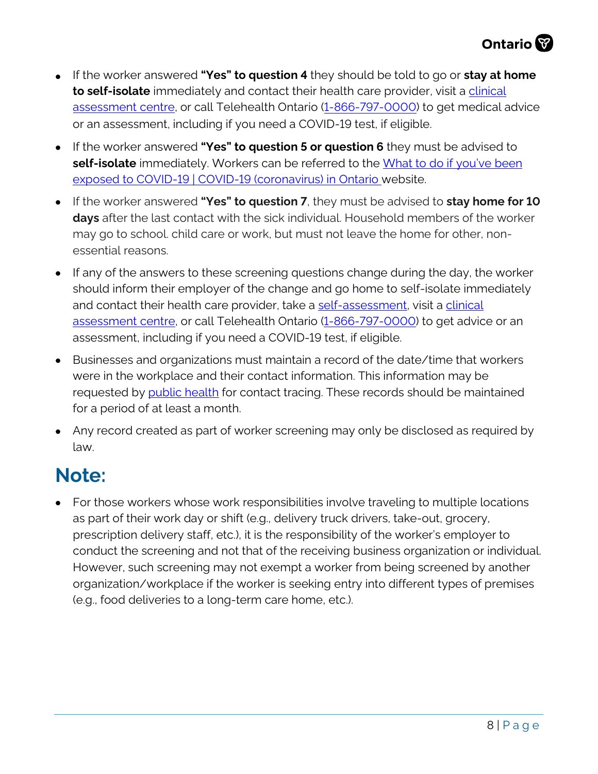

- If the worker answered **"Yes" to question 4** they should be told to go or **stay at home to self-isolate** immediately and contact their health care provider, visit a [clinical](https://covid-19.ontario.ca/assessment-centre-locations) [assessment](https://covid-19.ontario.ca/assessment-centre-locations) centre, or call Telehealth Ontario [\(1-866-797-0000\)](tel:+18667970000) to get medical advice or an assessment, including if you need a COVID-19 test, if eligible.
- If the worker answered **"Yes" to question 5 or question 6** they must be advised to self-isolate immediately. Workers can be referred to the [What to do if you've been](https://covid-19.ontario.ca/exposed#exposed) [exposed to COVID-19 | COVID-19 \(coronavirus\) in Ontario](https://covid-19.ontario.ca/exposed#exposed) website.
- If the worker answered **"Yes" to question 7**, they must be advised to **stay home for 10 days** after the last contact with the sick individual. Household members of the worker may go to school. child care or work, but must not leave the home for other, nonessential reasons.
- If any of the answers to these screening questions change during the day, the worker should inform their employer of the change and go home to self-isolate immediately and contact their health care provider, take a [self-assessment,](https://covid-19.ontario.ca/self-assessment/) visit a [clinical](https://covid-19.ontario.ca/assessment-centre-locations) [assessment centre,](https://covid-19.ontario.ca/assessment-centre-locations) or call Telehealth Ontario [\(1-866-797-0000\)](tel:+18667970000) to get advice or an assessment, including if you need a COVID-19 test, if eligible.
- Businesses and organizations must maintain a record of the date/time that workers were in the workplace and their contact information. This information may be requested by [public health](http://www.health.gov.on.ca/en/common/system/services/phu/locations.aspx) for contact tracing. These records should be maintained for a period of at least a month.
- Any record created as part of worker screening may only be disclosed as required by law.

### **Note:**

• For those workers whose work responsibilities involve traveling to multiple locations as part of their work day or shift (e.g., delivery truck drivers, take-out, grocery, prescription delivery staff, etc.), it is the responsibility of the worker's employer to conduct the screening and not that of the receiving business organization or individual. However, such screening may not exempt a worker from being screened by another organization/workplace if the worker is seeking entry into different types of premises (e.g., food deliveries to a long-term care home, etc.).